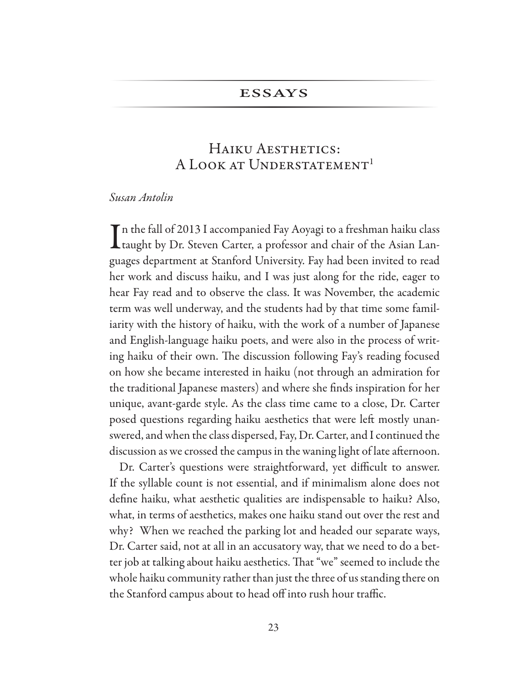## **ESSAYS**

## HAIKU AESTHETICS: A LOOK AT UNDERSTATEMENT<sup>1</sup>

## Susan Antolin

 $\blacksquare$ n the fall of 2013 I accompanied Fay Aoyagi to a freshman haiku class Ltaught by Dr. Steven Carter, a professor and chair of the Asian Languages department at Stanford University. Fay had been invited to read her work and discuss haiku, and I was just along for the ride, eager to hear Fay read and to observe the class. It was November, the academic term was well underway, and the students had by that time some familiarity with the history of haiku, with the work of a number of Japanese and English-language haiku poets, and were also in the process of writing haiku of their own. The discussion following Fay's reading focused on how she became interested in haiku (not through an admiration for the traditional Japanese masters) and where she finds inspiration for her unique, avant-garde style. As the class time came to a close, Dr. Carter posed questions regarding haiku aesthetics that were left mostly unanswered, and when the class dispersed, Fay, Dr. Carter, and I continued the discussion as we crossed the campus in the waning light of late afternoon.

Dr. Carter's questions were straightforward, yet difficult to answer. If the syllable count is not essential, and if minimalism alone does not define haiku, what aesthetic qualities are indispensable to haiku? Also, what, in terms of aesthetics, makes one haiku stand out over the rest and why? When we reached the parking lot and headed our separate ways, Dr. Carter said, not at all in an accusatory way, that we need to do a better job at talking about haiku aesthetics. That "we" seemed to include the whole haiku community rather than just the three of us standing there on the Stanford campus about to head off into rush hour traffic.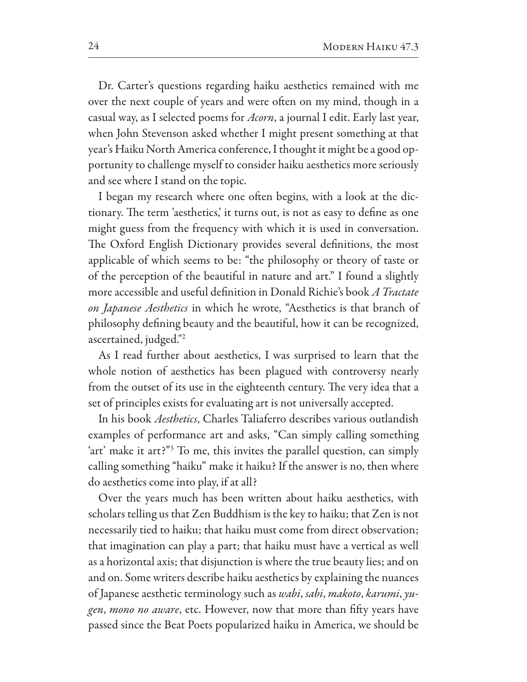Dr. Carter's questions regarding haiku aesthetics remained with me over the next couple of years and were often on my mind, though in a casual way, as I selected poems for *Acorn*, a journal I edit. Early last year, when John Stevenson asked whether I might present something at that year's Haiku North America conference, I thought it might be a good opportunity to challenge myself to consider haiku aesthetics more seriously and see where I stand on the topic.

I began my research where one often begins, with a look at the dictionary. The term 'aesthetics,' it turns out, is not as easy to define as one might guess from the frequency with which it is used in conversation. The Oxford English Dictionary provides several definitions, the most applicable of which seems to be: "the philosophy or theory of taste or of the perception of the beautiful in nature and art." I found a slightly more accessible and useful definition in Donald Richie's book A Tractate on Japanese Aesthetics in which he wrote, "Aesthetics is that branch of philosophy defining beauty and the beautiful, how it can be recognized, ascertained, judged."<sup>2</sup>

As I read further about aesthetics, I was surprised to learn that the whole notion of aesthetics has been plagued with controversy nearly from the outset of its use in the eighteenth century. The very idea that a set of principles exists for evaluating art is not universally accepted.

In his book *Aesthetics*, Charles Taliaferro describes various outlandish examples of performance art and asks, "Can simply calling something 'art' make it art?"<sup>3</sup> To me, this invites the parallel question, can simply calling something "haiku" make it haiku? If the answer is no, then where do aesthetics come into play, if at all?

Over the years much has been written about haiku aesthetics, with scholars telling us that Zen Buddhism is the key to haiku; that Zen is not necessarily tied to haiku; that haiku must come from direct observation; that imagination can play a part; that haiku must have a vertical as well as a horizontal axis; that disjunction is where the true beauty lies; and on and on. Some writers describe haiku aesthetics by explaining the nuances of Japanese aesthetic terminology such as wabi, sabi, makoto, karumi, yugen, mono no aware, etc. However, now that more than fifty years have passed since the Beat Poets popularized haiku in America, we should be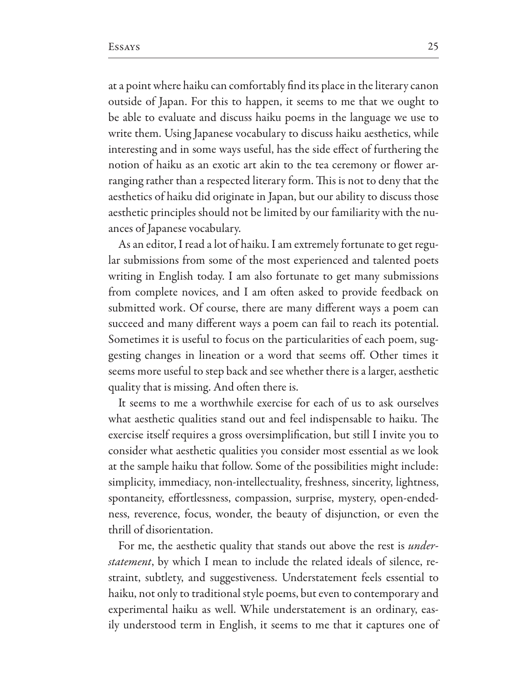at a point where haiku can comfortably find its place in the literary canon outside of Japan. For this to happen, it seems to me that we ought to be able to evaluate and discuss haiku poems in the language we use to write them. Using Japanese vocabulary to discuss haiku aesthetics, while interesting and in some ways useful, has the side effect of furthering the notion of haiku as an exotic art akin to the tea ceremony or flower arranging rather than a respected literary form. This is not to deny that the aesthetics of haiku did originate in Japan, but our ability to discuss those aesthetic principles should not be limited by our familiarity with the nuances of Japanese vocabulary.

As an editor, I read a lot of haiku. I am extremely fortunate to get regular submissions from some of the most experienced and talented poets writing in English today. I am also fortunate to get many submissions from complete novices, and I am often asked to provide feedback on submitted work. Of course, there are many different ways a poem can succeed and many different ways a poem can fail to reach its potential. Sometimes it is useful to focus on the particularities of each poem, suggesting changes in lineation or a word that seems off. Other times it seems more useful to step back and see whether there is a larger, aesthetic quality that is missing. And often there is.

It seems to me a worthwhile exercise for each of us to ask ourselves what aesthetic qualities stand out and feel indispensable to haiku. The exercise itself requires a gross oversimplification, but still I invite you to consider what aesthetic qualities you consider most essential as we look at the sample haiku that follow. Some of the possibilities might include: simplicity, immediacy, non-intellectuality, freshness, sincerity, lightness, spontaneity, effortlessness, compassion, surprise, mystery, open-endedness, reverence, focus, wonder, the beauty of disjunction, or even the thrill of disorientation.

For me, the aesthetic quality that stands out above the rest is *understatement*, by which I mean to include the related ideals of silence, restraint, subtlety, and suggestiveness. Understatement feels essential to haiku, not only to traditional style poems, but even to contemporary and experimental haiku as well. While understatement is an ordinary, easily understood term in English, it seems to me that it captures one of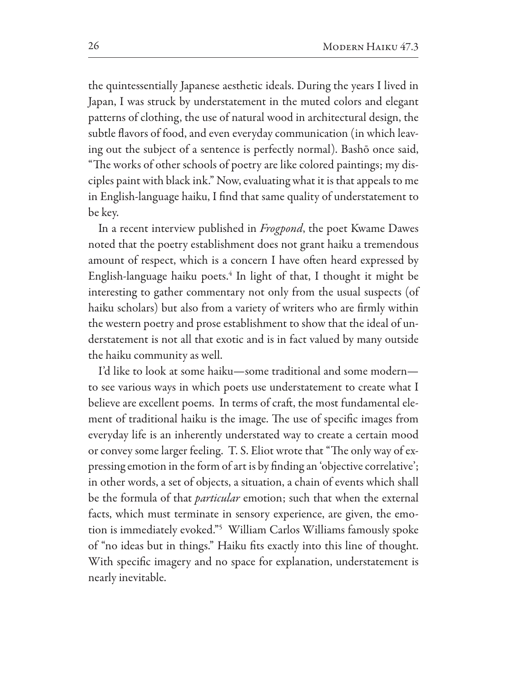the quintessentially Japanese aesthetic ideals. During the years I lived in Japan, I was struck by understatement in the muted colors and elegant patterns of clothing, the use of natural wood in architectural design, the subtle flavors of food, and even everyday communication (in which leaving out the subject of a sentence is perfectly normal). Bashō once said, "The works of other schools of poetry are like colored paintings; my disciples paint with black ink." Now, evaluating what it is that appeals to me in English-language haiku, I find that same quality of understatement to be key.

In a recent interview published in *Frogpond*, the poet Kwame Dawes noted that the poetry establishment does not grant haiku a tremendous amount of respect, which is a concern I have often heard expressed by English-language haiku poets.<sup>4</sup> In light of that, I thought it might be interesting to gather commentary not only from the usual suspects (of haiku scholars) but also from a variety of writers who are firmly within the western poetry and prose establishment to show that the ideal of understatement is not all that exotic and is in fact valued by many outside the haiku community as well.

I'd like to look at some haiku—some traditional and some modern to see various ways in which poets use understatement to create what I believe are excellent poems. In terms of craft, the most fundamental element of traditional haiku is the image. The use of specific images from everyday life is an inherently understated way to create a certain mood or convey some larger feeling. T. S. Eliot wrote that "The only way of expressing emotion in the form of art is by finding an 'objective correlative'; in other words, a set of objects, a situation, a chain of events which shall be the formula of that *particular* emotion; such that when the external facts, which must terminate in sensory experience, are given, the emotion is immediately evoked."<sup>5</sup> William Carlos Williams famously spoke of "no ideas but in things." Haiku fits exactly into this line of thought. With specific imagery and no space for explanation, understatement is nearly inevitable.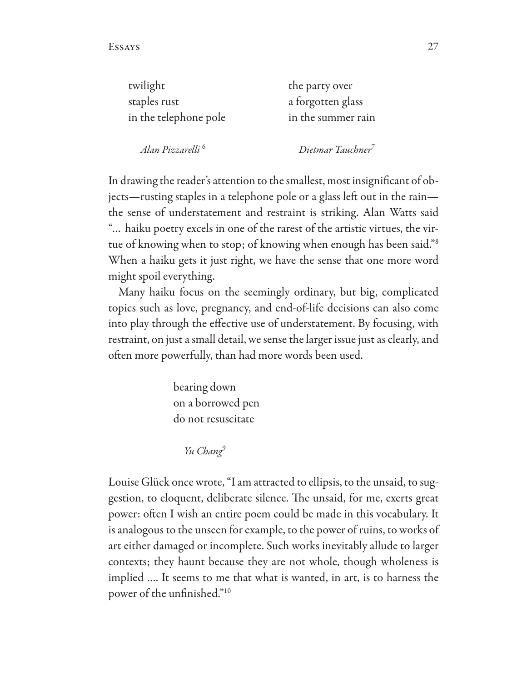| the party over     |
|--------------------|
| a forgotten glass  |
| in the summer rain |
|                    |

Alan Pizzarelli<sup>6</sup>

Dietmar Tauchner<sup>7</sup>

In drawing the reader's attention to the smallest, most insignificant of objects-rusting staples in a telephone pole or a glass left out in the rainthe sense of understatement and restraint is striking. Alan Watts said "... haiku poetry excels in one of the rarest of the artistic virtues, the virtue of knowing when to stop; of knowing when enough has been said."<sup>8</sup> When a haiku gets it just right, we have the sense that one more word might spoil everything.

Many haiku focus on the seemingly ordinary, but big, complicated topics such as love, pregnancy, and end-of-life decisions can also come into play through the effective use of understatement. By focusing, with restraint, on just a small detail, we sense the larger issue just as clearly, and often more powerfully, than had more words been used.

> bearing down on a borrowed pen do not resuscitate

> > Yu Chang<sup>9</sup>

Louise Glück once wrote, "I am attracted to ellipsis, to the unsaid, to suggestion, to eloquent, deliberate silence. The unsaid, for me, exerts great power: often I wish an entire poem could be made in this vocabulary. It is analogous to the unseen for example, to the power of ruins, to works of art either damaged or incomplete. Such works inevitably allude to larger contexts; they haunt because they are not whole, though wholeness is implied .... It seems to me that what is wanted, in art, is to harness the power of the unfinished."<sup>10</sup>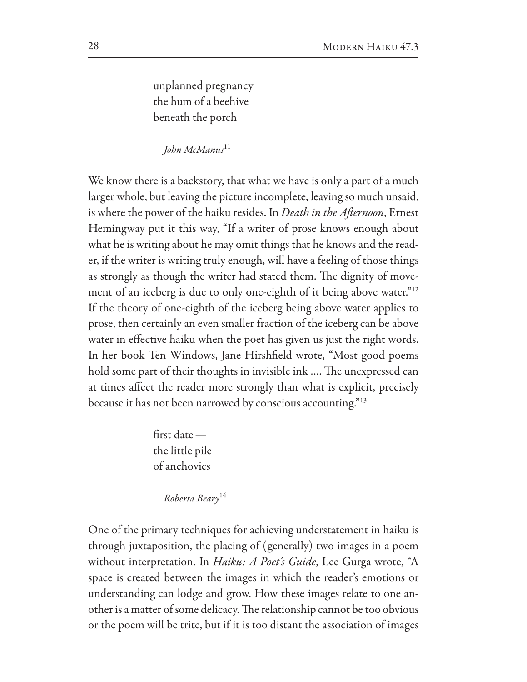unplanned pregnancy the hum of a beehive beneath the porch

 $I$ ohn McManus<sup>11</sup>

We know there is a backstory, that what we have is only a part of a much larger whole, but leaving the picture incomplete, leaving so much unsaid, is where the power of the haiku resides. In *Death in the Afternoon*, Ernest Hemingway put it this way, "If a writer of prose knows enough about what he is writing about he may omit things that he knows and the reader, if the writer is writing truly enough, will have a feeling of those things as strongly as though the writer had stated them. The dignity of movement of an iceberg is due to only one-eighth of it being above water."<sup>12</sup> If the theory of one-eighth of the iceberg being above water applies to prose, then certainly an even smaller fraction of the iceberg can be above water in effective haiku when the poet has given us just the right words. In her book Ten Windows, Jane Hirshfield wrote, "Most good poems hold some part of their thoughts in invisible ink .... The unexpressed can at times affect the reader more strongly than what is explicit, precisely because it has not been narrowed by conscious accounting."<sup>13</sup>

> $first$  date  $$ the little pile of anchovies

> > Roberta Beary<sup>14</sup>

One of the primary techniques for achieving understatement in haiku is through juxtaposition, the placing of (generally) two images in a poem without interpretation. In *Haiku: A Poet's Guide*, Lee Gurga wrote, "A space is created between the images in which the reader's emotions or understanding can lodge and grow. How these images relate to one another is a matter of some delicacy. The relationship cannot be too obvious or the poem will be trite, but if it is too distant the association of images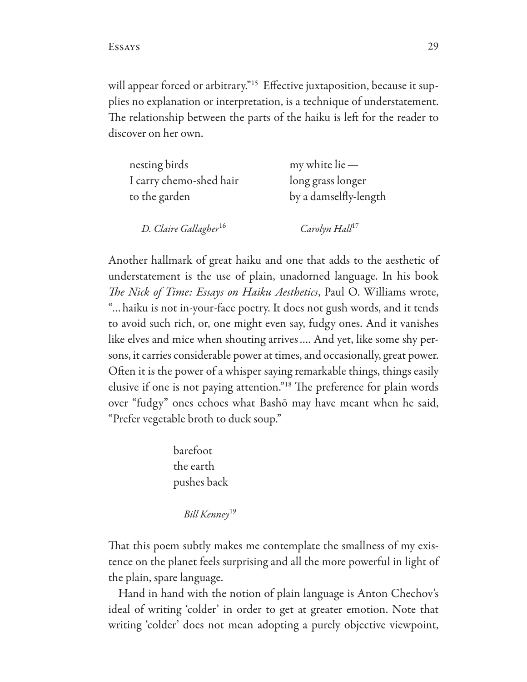will appear forced or arbitrary."<sup>15</sup> Effective juxtaposition, because it supplies no explanation or interpretation, is a technique of understatement. The relationship between the parts of the haiku is left for the reader to discover on her own.

| nesting birds                     | $my$ white lie $-$         |
|-----------------------------------|----------------------------|
| I carry chemo-shed hair           | long grass longer          |
| to the garden                     | by a damselfly-length      |
| D. Claire Gallagher <sup>16</sup> | Carolyn Hall <sup>17</sup> |

Another hallmark of great haiku and one that adds to the aesthetic of understatement is the use of plain, unadorned language. In his book The Nick of Time: Essays on Haiku Aesthetics, Paul O. Williams wrote, "... haiku is not in-your-face poetry. It does not gush words, and it tends to avoid such rich, or, one might even say, fudgy ones. And it vanishes like elves and mice when shouting arrives.... And yet, like some shy persons, it carries considerable power at times, and occasionally, great power. Often it is the power of a whisper saying remarkable things, things easily elusive if one is not paying attention."<sup>18</sup> The preference for plain words over "fudgy" ones echoes what Bashō may have meant when he said, "Prefer vegetable broth to duck soup."

> barefoot the earth pushes back

> > Bill Kenney<sup>19</sup>

That this poem subtly makes me contemplate the smallness of my existence on the planet feels surprising and all the more powerful in light of the plain, spare language.

Hand in hand with the notion of plain language is Anton Chechov's ideal of writing 'colder' in order to get at greater emotion. Note that writing 'colder' does not mean adopting a purely objective viewpoint,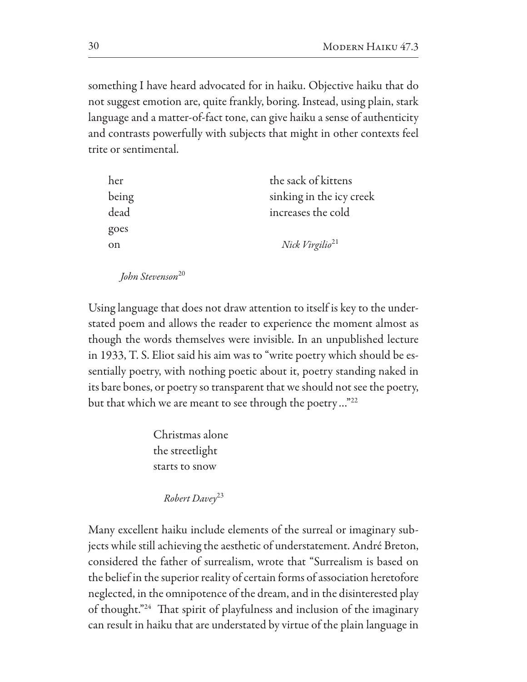something I have heard advocated for in haiku. Objective haiku that do not suggest emotion are, quite frankly, boring. Instead, using plain, stark language and a matter-of-fact tone, can give haiku a sense of authenticity and contrasts powerfully with subjects that might in other contexts feel trite or sentimental.

| her   | the sack of kittens         |
|-------|-----------------------------|
| being | sinking in the icy creek    |
| dead  | increases the cold          |
| goes  |                             |
| on    | Nick Virgilio <sup>21</sup> |
|       |                             |

John Stevenson<sup>20</sup>

Using language that does not draw attention to itself is key to the understated poem and allows the reader to experience the moment almost as though the words themselves were invisible. In an unpublished lecture in 1933, T. S. Eliot said his aim was to "write poetry which should be essentially poetry, with nothing poetic about it, poetry standing naked in its bare bones, or poetry so transparent that we should not see the poetry, but that which we are meant to see through the poetry..."<sup>22</sup>

> Christmas alone the streetlight starts to snow

> > Robert Davey<sup>23</sup>

Many excellent haiku include elements of the surreal or imaginary subjects while still achieving the aesthetic of understatement. André Breton, considered the father of surrealism, wrote that "Surrealism is based on the belief in the superior reality of certain forms of association heretofore neglected, in the omnipotence of the dream, and in the disinterested play of thought."<sup>24</sup> That spirit of playfulness and inclusion of the imaginary can result in haiku that are understated by virtue of the plain language in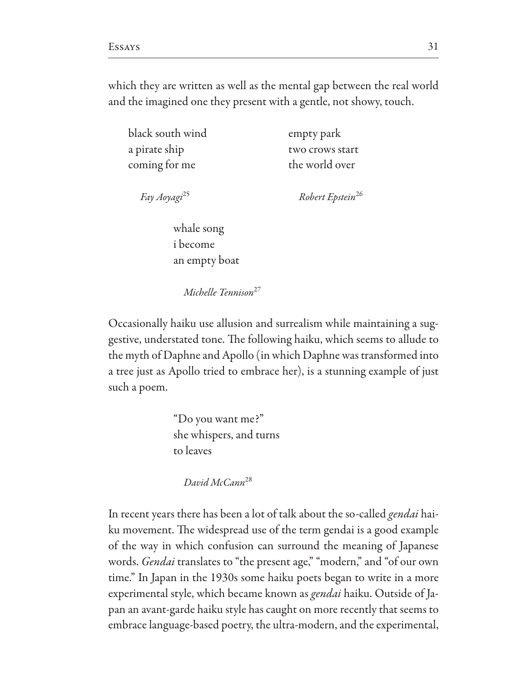which they are written as well as the mental gap between the real world and the imagined one they present with a gentle, not showy, touch.

black south wind a pirate ship coming for me

empty park two crows start the world over

Fay Aoyagi<sup>25</sup>

Robert Epstein<sup>26</sup>

whale song *i* become an empty boat

Michelle Tennison<sup>27</sup>

Occasionally haiku use allusion and surrealism while maintaining a suggestive, understated tone. The following haiku, which seems to allude to the myth of Daphne and Apollo (in which Daphne was transformed into a tree just as Apollo tried to embrace her), is a stunning example of just such a poem.

> "Do you want me?" she whispers, and turns to leaves

David McCann<sup>28</sup>

In recent years there has been a lot of talk about the so-called *gendai* haiku movement. The widespread use of the term gendai is a good example of the way in which confusion can surround the meaning of Japanese words. Gendai translates to "the present age," "modern," and "of our own time." In Japan in the 1930s some haiku poets began to write in a more experimental style, which became known as gendai haiku. Outside of Japan an avant-garde haiku style has caught on more recently that seems to embrace language-based poetry, the ultra-modern, and the experimental,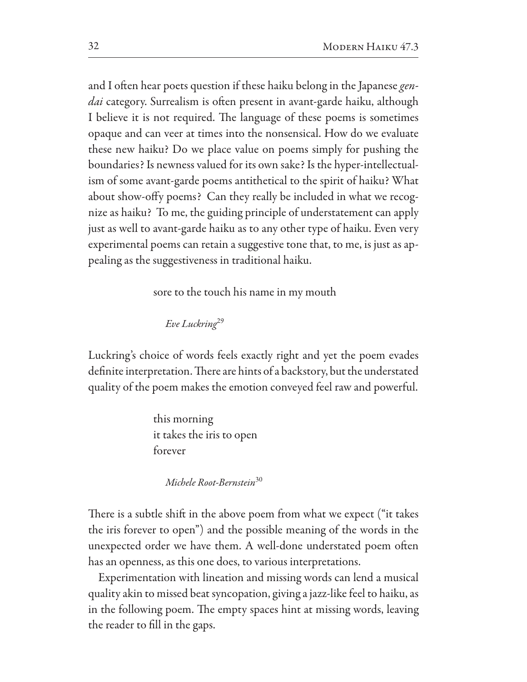and I often hear poets question if these haiku belong in the Japanese gendai category. Surrealism is often present in avant-garde haiku, although I believe it is not required. The language of these poems is sometimes opaque and can veer at times into the nonsensical. How do we evaluate these new haiku? Do we place value on poems simply for pushing the boundaries? Is newness valued for its own sake? Is the hyper-intellectualism of some avant-garde poems antithetical to the spirit of haiku? What about show-offy poems? Can they really be included in what we recognize as haiku? To me, the guiding principle of understatement can apply just as well to avant-garde haiku as to any other type of haiku. Even very experimental poems can retain a suggestive tone that, to me, is just as appealing as the suggestiveness in traditional haiku.

sore to the touch his name in my mouth

Eve Luckring<sup>29</sup>

Luckring's choice of words feels exactly right and yet the poem evades definite interpretation. There are hints of a backstory, but the understated quality of the poem makes the emotion conveyed feel raw and powerful.

> this morning it takes the iris to open forever

> > Michele Root-Bernstein<sup>30</sup>

There is a subtle shift in the above poem from what we expect ("it takes") the iris forever to open") and the possible meaning of the words in the unexpected order we have them. A well-done understated poem often has an openness, as this one does, to various interpretations.

Experimentation with lineation and missing words can lend a musical quality akin to missed beat syncopation, giving a jazz-like feel to haiku, as in the following poem. The empty spaces hint at missing words, leaving the reader to fill in the gaps.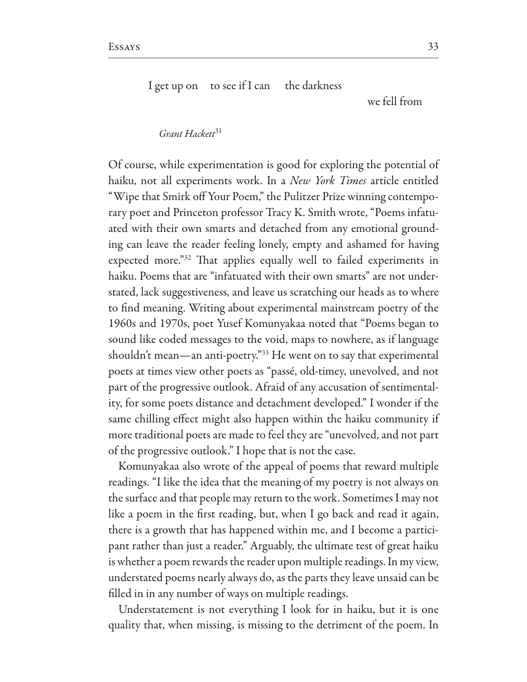I get up on to see if I can the darkness

we fell from

Grant Hackett<sup>31</sup>

Of course, while experimentation is good for exploring the potential of haiku, not all experiments work. In a New York Times article entitled "Wipe that Smirk off Your Poem," the Pulitzer Prize winning contemporary poet and Princeton professor Tracy K. Smith wrote, "Poems infatuated with their own smarts and detached from any emotional grounding can leave the reader feeling lonely, empty and ashamed for having expected more."<sup>32</sup> That applies equally well to failed experiments in haiku. Poems that are "infatuated with their own smarts" are not understated, lack suggestiveness, and leave us scratching our heads as to where to find meaning. Writing about experimental mainstream poetry of the 1960s and 1970s, poet Yusef Komunyakaa noted that "Poems began to sound like coded messages to the void, maps to nowhere, as if language shouldn't mean—an anti-poetry."33 He went on to say that experimental poets at times view other poets as "passé, old-timey, unevolved, and not part of the progressive outlook. Afraid of any accusation of sentimentality, for some poets distance and detachment developed." I wonder if the same chilling effect might also happen within the haiku community if more traditional poets are made to feel they are "unevolved, and not part of the progressive outlook." I hope that is not the case.

Komunyakaa also wrote of the appeal of poems that reward multiple readings. "I like the idea that the meaning of my poetry is not always on the surface and that people may return to the work. Sometimes I may not like a poem in the first reading, but, when I go back and read it again, there is a growth that has happened within me, and I become a participant rather than just a reader." Arguably, the ultimate test of great haiku is whether a poem rewards the reader upon multiple readings. In my view, understated poems nearly always do, as the parts they leave unsaid can be filled in in any number of ways on multiple readings.

Understatement is not everything I look for in haiku, but it is one quality that, when missing, is missing to the detriment of the poem. In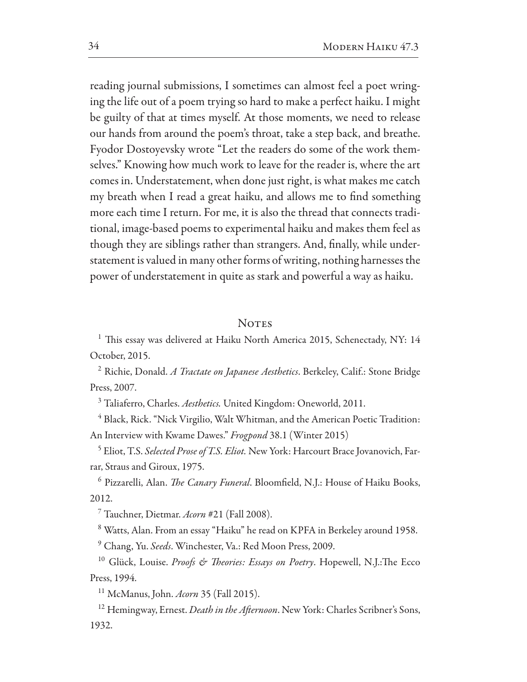reading journal submissions, I sometimes can almost feel a poet wringing the life out of a poem trying so hard to make a perfect haiku. I might be guilty of that at times myself. At those moments, we need to release our hands from around the poem's throat, take a step back, and breathe. Fyodor Dostoyevsky wrote "Let the readers do some of the work themselves." Knowing how much work to leave for the reader is, where the art comes in. Understatement, when done just right, is what makes me catch my breath when I read a great haiku, and allows me to find something more each time I return. For me, it is also the thread that connects traditional, image-based poems to experimental haiku and makes them feel as though they are siblings rather than strangers. And, finally, while understatement is valued in many other forms of writing, nothing harnesses the power of understatement in quite as stark and powerful a way as haiku.

## **NOTES**

<sup>1</sup> This essay was delivered at Haiku North America 2015, Schenectady, NY: 14 October, 2015.

<sup>2</sup> Richie, Donald. A Tractate on Japanese Aesthetics. Berkeley, Calif.: Stone Bridge Press, 2007.

<sup>3</sup> Taliaferro, Charles. Aesthetics. United Kingdom: Oneworld, 2011.

<sup>4</sup> Black, Rick. "Nick Virgilio, Walt Whitman, and the American Poetic Tradition: An Interview with Kwame Dawes." Frogpond 38.1 (Winter 2015)

<sup>5</sup> Eliot, T.S. Selected Prose of T.S. Eliot. New York: Harcourt Brace Jovanovich, Farrar, Straus and Giroux, 1975.

<sup>6</sup> Pizzarelli, Alan. The Canary Funeral. Bloomfield, N.J.: House of Haiku Books, 2012.

<sup>7</sup> Tauchner, Dietmar. Acorn #21 (Fall 2008).

<sup>8</sup> Watts, Alan. From an essay "Haiku" he read on KPFA in Berkeley around 1958.

<sup>9</sup> Chang, Yu. Seeds. Winchester, Va.: Red Moon Press, 2009.

<sup>10</sup> Glück, Louise. Proofs & Theories: Essays on Poetry. Hopewell, N.J.:The Ecco Press, 1994.

<sup>11</sup> McManus, John. Acorn 35 (Fall 2015).

<sup>12</sup> Hemingway, Ernest. *Death in the Afternoon*. New York: Charles Scribner's Sons, 1932.